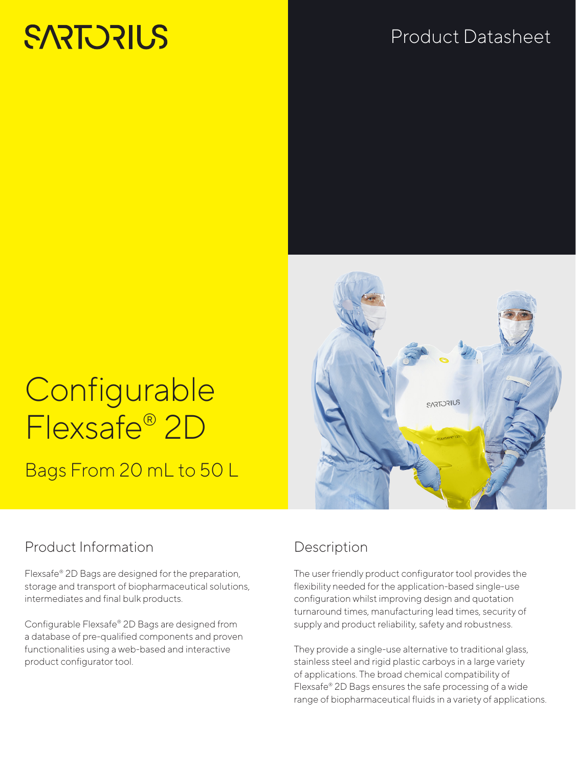# **SARTORILS**

# Product Datasheet



# **Configurable** Flexsafe® 2D

Bags From 20 mL to 50 L

### Product Information

Flexsafe® 2D Bags are designed for the preparation, storage and transport of biopharmaceutical solutions, intermediates and final bulk products.

Configurable Flexsafe® 2D Bags are designed from a database of pre-qualified components and proven functionalities using a web-based and interactive product configurator tool.

## Description

The user friendly product configurator tool provides the flexibility needed for the application-based single-use configuration whilst improving design and quotation turnaround times, manufacturing lead times, security of supply and product reliability, safety and robustness.

They provide a single-use alternative to traditional glass, stainless steel and rigid plastic carboys in a large variety of applications. The broad chemical compatibility of Flexsafe® 2D Bags ensures the safe processing of a wide range of biopharmaceutical fluids in a variety of applications.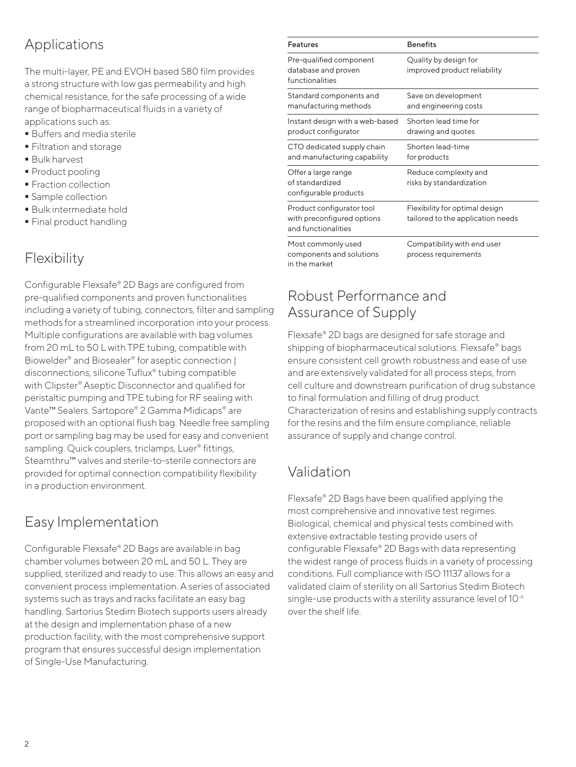### Applications

The multi-layer, PE and EVOH based S80 film provides a strong structure with low gas permeability and high chemical resistance, for the safe processing of a wide range of biopharmaceutical fluids in a variety of applications such as:

- Buffers and media sterile
- **Filtration and storage**
- Bulk harvest
- Product pooling
- **Fraction collection**
- **Sample collection**
- Bulk intermediate hold
- **Final product handling**

### Flexibility

Configurable Flexsafe® 2D Bags are configured from pre-qualified components and proven functionalities including a variety of tubing, connectors, filter and sampling methods for a streamlined incorporation into your process. Multiple configurations are available with bag volumes from 20 mL to 50 L with TPE tubing, compatible with Biowelder® and Biosealer® for aseptic connection | disconnections, silicone Tuflux® tubing compatible with Clipster® Aseptic Disconnector and qualified for peristaltic pumping and TPE tubing for RF sealing with Vante™ Sealers. Sartopore® 2 Gamma Midicaps® are proposed with an optional flush bag. Needle free sampling port or sampling bag may be used for easy and convenient sampling. Quick couplers, triclamps, Luer<sup>®</sup> fittings, Steamthru™ valves and sterile-to-sterile connectors are provided for optimal connection compatibility flexibility in a production environment.

### Easy Implementation

Configurable Flexsafe® 2D Bags are available in bag chamber volumes between 20 mL and 50 L. They are supplied, sterilized and ready to use. This allows an easy and convenient process implementation. A series of associated systems such as trays and racks facilitate an easy bag handling. Sartorius Stedim Biotech supports users already at the design and implementation phase of a new production facility, with the most comprehensive support program that ensures successful design implementation of Single-Use Manufacturing.

| <b>Features</b>                                                                | <b>Benefits</b>                                                     |  |
|--------------------------------------------------------------------------------|---------------------------------------------------------------------|--|
| Pre-qualified component<br>database and proven<br>functionalities              | Quality by design for<br>improved product reliability               |  |
| Standard components and<br>manufacturing methods                               | Save on development<br>and engineering costs                        |  |
| Instant design with a web-based<br>product configurator                        | Shorten lead time for<br>drawing and quotes                         |  |
| CTO dedicated supply chain<br>and manufacturing capability                     | Shorten lead-time<br>for products                                   |  |
| Offer a large range<br>of standardized<br>configurable products                | Reduce complexity and<br>risks by standardization                   |  |
| Product configurator tool<br>with preconfigured options<br>and functionalities | Flexibility for optimal design<br>tailored to the application needs |  |
| Most commonly used<br>components and solutions                                 | Compatibility with end user<br>process requirements                 |  |

### Robust Performance and Assurance of Supply

Flexsafe® 2D bags are designed for safe storage and shipping of biopharmaceutical solutions. Flexsafe® bags ensure consistent cell growth robustness and ease of use and are extensively validated for all process steps, from cell culture and downstream purification of drug substance to final formulation and filling of drug product. Characterization of resins and establishing supply contracts for the resins and the film ensure compliance, reliable assurance of supply and change control.

### Validation

in the market

Flexsafe® 2D Bags have been qualified applying the most comprehensive and innovative test regimes. Biological, chemical and physical tests combined with extensive extractable testing provide users of configurable Flexsafe® 2D Bags with data representing the widest range of process fluids in a variety of processing conditions. Full compliance with ISO 11137 allows for a validated claim of sterility on all Sartorius Stedim Biotech single-use products with a sterility assurance level of 10<sup>-6</sup> over the shelf life.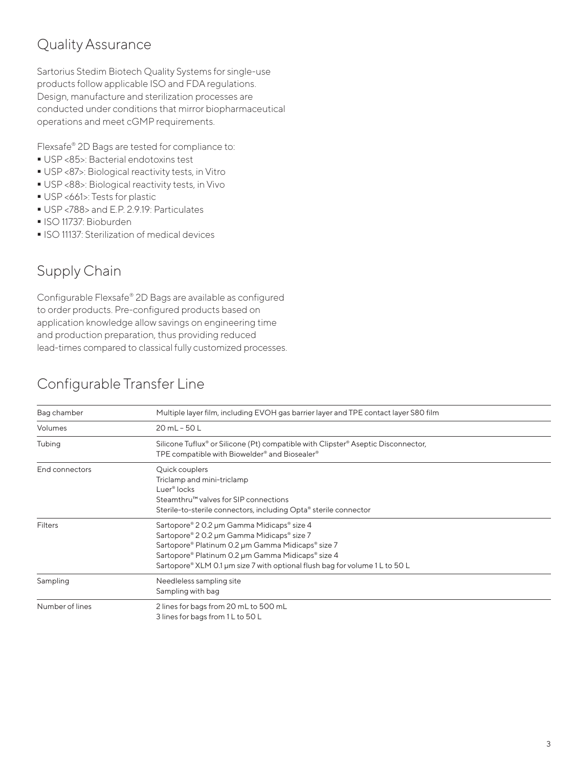### Quality Assurance

Sartorius Stedim Biotech Quality Systems for single-use products follow applicable ISO and FDA regulations. Design, manufacture and sterilization processes are conducted under conditions that mirror biopharmaceutical operations and meet cGMP requirements.

Flexsafe® 2D Bags are tested for compliance to:

- USP <85>: Bacterial endotoxins test
- USP <87>: Biological reactivity tests, in Vitro
- USP <88>: Biological reactivity tests, in Vivo
- USP <661>: Tests for plastic
- USP <788> and E.P. 2.9.19: Particulates
- ISO 11737: Bioburden
- **ISO 11137: Sterilization of medical devices**

### Supply Chain

Configurable Flexsafe® 2D Bags are available as configured to order products. Pre-configured products based on application knowledge allow savings on engineering time and production preparation, thus providing reduced lead-times compared to classical fully customized processes.

### Configurable Transfer Line

| Bag chamber     | Multiple layer film, including EVOH gas barrier layer and TPE contact layer S80 film                                                                                                                                                                                              |  |  |  |
|-----------------|-----------------------------------------------------------------------------------------------------------------------------------------------------------------------------------------------------------------------------------------------------------------------------------|--|--|--|
| Volumes         | 20 mL - 50 L                                                                                                                                                                                                                                                                      |  |  |  |
| Tubing          | Silicone Tuflux <sup>®</sup> or Silicone (Pt) compatible with Clipster <sup>®</sup> Aseptic Disconnector,<br>TPE compatible with Biowelder <sup>®</sup> and Biosealer <sup>®</sup>                                                                                                |  |  |  |
| End connectors  | Quick couplers<br>Triclamp and mini-triclamp<br>Luer <sup>®</sup> locks<br>Steamthru™ valves for SIP connections<br>Sterile-to-sterile connectors, including Opta® sterile connector                                                                                              |  |  |  |
| <b>Filters</b>  | Sartopore® 2 0.2 µm Gamma Midicaps® size 4<br>Sartopore® 2 0.2 µm Gamma Midicaps® size 7<br>Sartopore® Platinum 0.2 µm Gamma Midicaps® size 7<br>Sartopore® Platinum 0.2 µm Gamma Midicaps® size 4<br>Sartopore® XLM 0.1 µm size 7 with optional flush bag for volume 1 L to 50 L |  |  |  |
| Sampling        | Needleless sampling site<br>Sampling with bag                                                                                                                                                                                                                                     |  |  |  |
| Number of lines | 2 lines for bags from 20 mL to 500 mL<br>3 lines for bags from 1 L to 50 L                                                                                                                                                                                                        |  |  |  |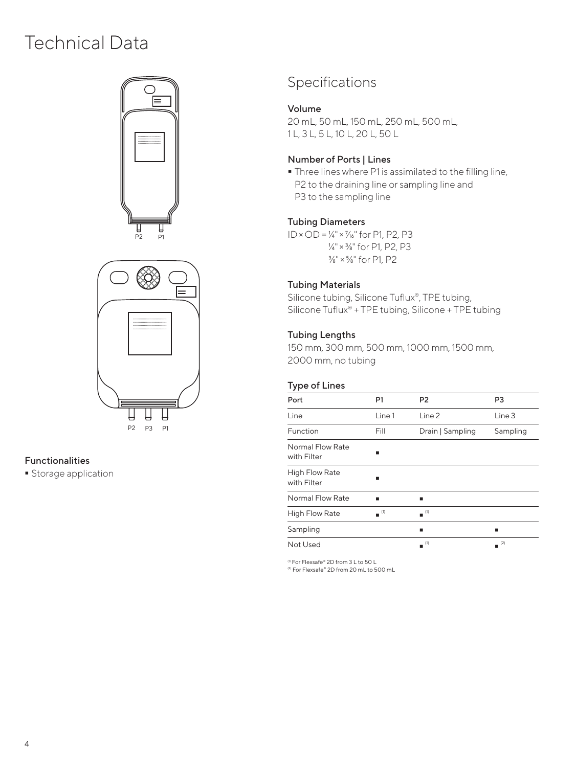# Technical Data





#### Functionalities

**Storage application** 

### Specifications

#### Volume

20 mL, 50 mL, 150 mL, 250 mL, 500 mL, 1 L, 3 L, 5 L, 10 L, 20 L, 50 L

#### Number of Ports | Lines

 Three lines where P1 is assimilated to the filling line, P2 to the draining line or sampling line and P3 to the sampling line

#### Tubing Diameters

 $ID \times OD = ½" \times ½"$  for P1, P2, P3 ¼" × ⅜" for P1, P2, P3 ⅜" × ⅝" for P1, P2

#### Tubing Materials

Silicone tubing, Silicone Tuflux®, TPE tubing, Silicone Tuflux® + TPE tubing, Silicone + TPE tubing

#### Tubing Lengths

150 mm, 300 mm, 500 mm, 1000 mm, 1500 mm, 2000 mm, no tubing

#### Type of Lines

| Port                                 | P <sub>1</sub> | P <sub>2</sub>                | P <sub>3</sub> |
|--------------------------------------|----------------|-------------------------------|----------------|
| Line                                 | Line 1         | Line 2                        | Line 3         |
| Function                             | Fill           | Drain   Sampling              | Sampling       |
| Normal Flow Rate<br>with Filter      |                |                               |                |
| <b>High Flow Rate</b><br>with Filter |                |                               |                |
| Normal Flow Rate                     |                |                               |                |
| <b>High Flow Rate</b>                | $=$ $(1)$      | $\blacksquare$ <sup>(1)</sup> |                |
| Sampling                             |                | ▪                             |                |
| Not Used                             |                | (1)                           | (2)<br>٠       |

(1) For Flexsafe® 2D from 3 L to 50 L

(2) For Flexsafe® 2D from 20 mL to 500 mL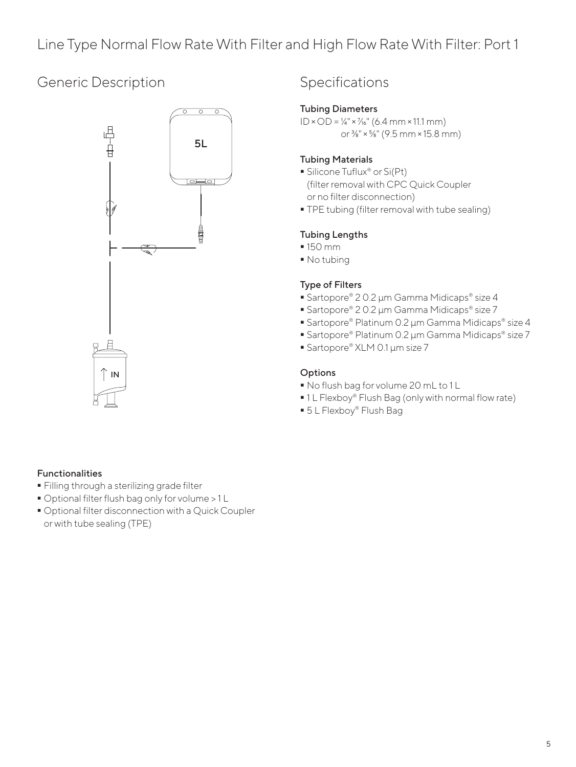### Line Type Normal Flow Rate With Filter and High Flow Rate With Filter: Port 1

### Generic Description



### Specifications

#### Tubing Diameters

 $ID \times OD = ½" \times ½" (6.4 mm \times 11.1 mm)$ or ⅜" × ⅝" (9.5 mm × 15.8 mm)

#### Tubing Materials

- Silicone Tuflux<sup>®</sup> or Si(Pt) (filter removal with CPC Quick Coupler or no filter disconnection)
- **TPE tubing (filter removal with tube sealing)**

#### Tubing Lengths

- 150 mm
- No tubing

#### Type of Filters

- Sartopore® 2 0.2 µm Gamma Midicaps® size 4
- Sartopore® 2 0.2 µm Gamma Midicaps® size 7
- Sartopore® Platinum 0.2 µm Gamma Midicaps® size 4
- Sartopore® Platinum 0.2 µm Gamma Midicaps® size 7
- Sartopore® XLM 0.1 µm size 7

#### **Options**

- No flush bag for volume 20 mL to 1 L
- 1 L Flexboy® Flush Bag (only with normal flow rate)
- 5 L Flexboy® Flush Bag

#### Functionalities

- Filling through a sterilizing grade filter
- Optional filter flush bag only for volume > 1 L
- Optional filter disconnection with a Quick Coupler or with tube sealing (TPE)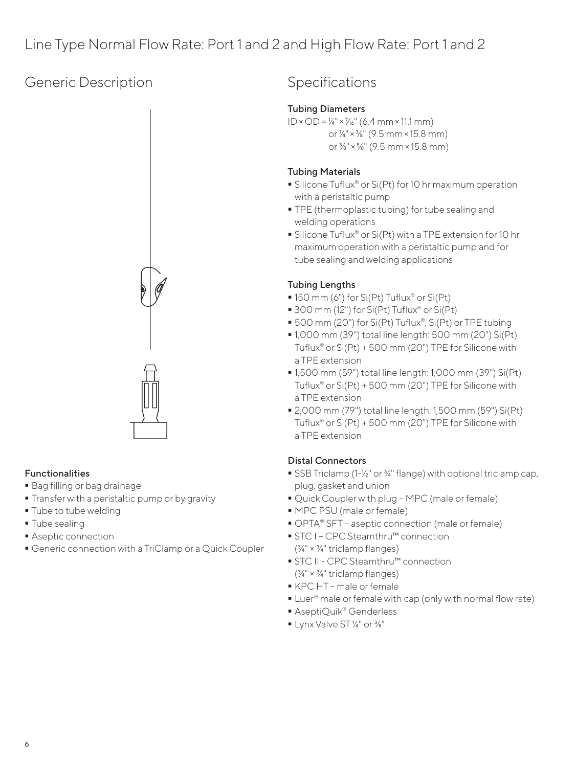### Line Type Normal Flow Rate: Port 1 and 2 and High Flow Rate: Port 1 and 2

### Generic Description



#### Functionalities

- Bag filling or bag drainage
- **Transfer with a peristaltic pump or by gravity**
- **Tube to tube welding**
- **Tube sealing**
- **Aseptic connection**
- Generic connection with a TriClamp or a Quick Coupler

### Specifications

#### Tubing Diameters

 $ID \times OD = ½" \times ½" (6.4 mm \times 11.1 mm)$ 

or ¼" × ⅜" (9.5 mm × 15.8 mm) or ⅜" × ⅝" (9.5 mm × 15.8 mm)

#### Tubing Materials

- Silicone Tuflux<sup>®</sup> or Si(Pt) for 10 hr maximum operation with a peristaltic pump
- **TPE** (thermoplastic tubing) for tube sealing and welding operations
- Silicone Tuflux<sup>®</sup> or Si(Pt) with a TPE extension for 10 hr maximum operation with a peristaltic pump and for tube sealing and welding applications

#### Tubing Lengths

- 150 mm (6") for Si(Pt) Tuflux<sup>®</sup> or Si(Pt)
- 300 mm (12") for Si(Pt) Tuflux® or Si(Pt)
- 500 mm (20") for Si(Pt) Tuflux®, Si(Pt) or TPE tubing
- 1,000 mm (39") total line length: 500 mm (20") Si(Pt) Tuflux® or Si(Pt) + 500 mm (20") TPE for Silicone with a TPE extension
- 1,500 mm (59") total line length: 1,000 mm (39") Si(Pt) Tuflux® or Si(Pt) + 500 mm (20") TPE for Silicone with a TPE extension
- 2,000 mm (79") total line length: 1,500 mm (59") Si(Pt) Tuflux® or Si(Pt) + 500 mm (20") TPE for Silicone with a TPE extension

#### Distal Connectors

- SSB Triclamp (1-1/<sub>2</sub>" or <sup>3</sup>/4" flange) with optional triclamp cap, plug, gasket and union
- Quick Coupler with plug MPC (male or female)
- MPC PSU (male or female)
- OPTA® SFT aseptic connection (male or female)
- STC I CPC Steamthru™ connection  $(3/4" \times 3/4"$  triclamp flanges)
- STC II CPC Steamthru™ connection (¾" × ¾" triclamp flanges)
- KPC HT male or female
- Luer<sup>®</sup> male or female with cap (only with normal flow rate)
- AseptiQuik<sup>®</sup> Genderless
- Lynx Valve ST ¼" or 3/<sub>8</sub>"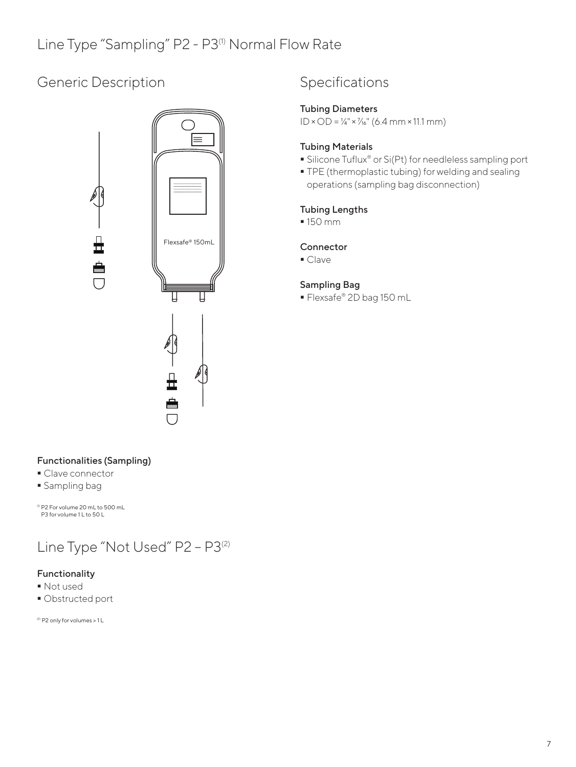### Generic Description



### Specifications

#### Tubing Diameters

 $ID \times OD = ½" \times ½" (6.4 mm \times 11.1 mm)$ 

#### Tubing Materials

- Silicone Tuflux<sup>®</sup> or Si(Pt) for needleless sampling port
- **TPE** (thermoplastic tubing) for welding and sealing operations (sampling bag disconnection)

#### Tubing Lengths

150 mm

#### Connector

• Clave

#### Sampling Bag

Flexsafe® 2D bag 150 mL

#### Functionalities (Sampling)

- Clave connector
- **Sampling bag**

(1) P2 For volume 20 mL to 500 mL P3 for volume 11 to 50 L

## Line Type "Not Used" P2 - P3<sup>(2)</sup>

### Functionality

- Not used
- Obstructed port

(2) P2 only for volumes > 1 L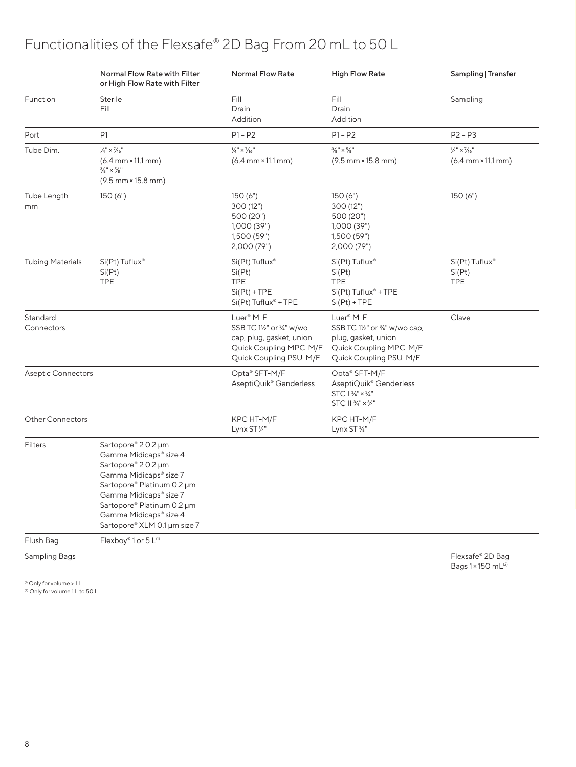### Functionalities of the Flexsafe® 2D Bag From 20 mL to 50 L

|                           | Normal Flow Rate with Filter<br>or High Flow Rate with Filter                                                                                                                                                                                | <b>Normal Flow Rate</b>                                                                                                            | <b>High Flow Rate</b>                                                                                                            | Sampling   Transfer                                                                 |
|---------------------------|----------------------------------------------------------------------------------------------------------------------------------------------------------------------------------------------------------------------------------------------|------------------------------------------------------------------------------------------------------------------------------------|----------------------------------------------------------------------------------------------------------------------------------|-------------------------------------------------------------------------------------|
| Function                  | Sterile<br>Fill                                                                                                                                                                                                                              | Fill<br>Drain<br>Addition                                                                                                          | Fill<br>Drain<br>Addition                                                                                                        | Sampling                                                                            |
| Port                      | P1                                                                                                                                                                                                                                           | $P1 - P2$                                                                                                                          | $P1 - P2$                                                                                                                        | $P2 - P3$                                                                           |
| Tube Dim.                 | $\frac{1}{4}$ " × $\frac{7}{16}$ "<br>$(6.4 \, \text{mm} \times 11.1 \, \text{mm})$<br>$\frac{3}{8}$ " x $\frac{5}{8}$ "<br>$(9.5 \, \text{mm} \times 15.8 \, \text{mm})$                                                                    | $\frac{1}{4}$ " × $\frac{7}{16}$ "<br>$(6.4 \, \text{mm} \times 11.1 \, \text{mm})$                                                | $\frac{3}{8}$ " x $\frac{5}{8}$ "<br>$(9.5 \, \text{mm} \times 15.8 \, \text{mm})$                                               | $\frac{1}{4}$ " × $\frac{7}{16}$ "<br>$(6.4 \, \text{mm} \times 11.1 \, \text{mm})$ |
| Tube Length<br>mm         | 150(6")                                                                                                                                                                                                                                      | 150(6")<br>300 (12")<br>500 (20")<br>1,000 (39")<br>1,500 (59")<br>2,000 (79")                                                     | 150(6")<br>300 (12")<br>500 (20")<br>1,000 (39")<br>1,500 (59")<br>2,000 (79")                                                   | 150(6")                                                                             |
| <b>Tubing Materials</b>   | Si(Pt) Tuflux®<br>Si(Pt)<br><b>TPE</b>                                                                                                                                                                                                       | $Si(Pt)$ Tuflux <sup>®</sup><br>Si(Pt)<br><b>TPE</b><br>$Si(Pt) + TPE$<br>$Si(Pt)$ Tuflux® + TPE                                   | Si(Pt) Tuflux <sup>®</sup><br>Si(Pt)<br><b>TPE</b><br>$Si(Pt)$ Tuflux® + TPE<br>$Si(Pt) + TPE$                                   | Si(Pt) Tuflux <sup>®</sup><br>Si(Pt)<br><b>TPE</b>                                  |
| Standard<br>Connectors    |                                                                                                                                                                                                                                              | Luer <sup>®</sup> M-F<br>SSB TC 11/2" or 3/4" w/wo<br>cap, plug, gasket, union<br>Quick Coupling MPC-M/F<br>Quick Coupling PSU-M/F | Luer <sup>®</sup> M-F<br>SSB TC 1½" or 3/4" w/wo cap,<br>plug, gasket, union<br>Quick Coupling MPC-M/F<br>Quick Coupling PSU-M/F | Clave                                                                               |
| <b>Aseptic Connectors</b> |                                                                                                                                                                                                                                              | Opta® SFT-M/F<br>AseptiQuik® Genderless                                                                                            | Opta® SFT-M/F<br>AseptiQuik® Genderless<br>$STC1\frac{3}{4}'' \times \frac{3}{4}''$<br>STC II 3/4" × 3/4"                        |                                                                                     |
| <b>Other Connectors</b>   |                                                                                                                                                                                                                                              | KPC HT-M/F<br>Lynx ST 1/4"                                                                                                         | KPC HT-M/F<br>Lynx ST %"                                                                                                         |                                                                                     |
| <b>Filters</b>            | Sartopore® 20.2 µm<br>Gamma Midicaps® size 4<br>Sartopore® 20.2 µm<br>Gamma Midicaps® size 7<br>Sartopore® Platinum 0.2 µm<br>Gamma Midicaps® size 7<br>Sartopore® Platinum 0.2 µm<br>Gamma Midicaps® size 4<br>Sartopore® XLM 0.1 µm size 7 |                                                                                                                                    |                                                                                                                                  |                                                                                     |
| Flush Bag                 | Flexboy® 1 or 5 L <sup>(1)</sup>                                                                                                                                                                                                             |                                                                                                                                    |                                                                                                                                  |                                                                                     |

Sampling Bags Flexsafe® 2D Bags Flexsafe® 2D Bags Flexsafe® 2D Bags Flexsafe® 2D Bags Flexsafe and the state of the state of the state of the state of the state of the state of the state of the state of the state of the st

Bags 1 × 150 mL(2)

<sup>(1)</sup> Only for volume > 1 L<br><sup>(2)</sup> Only for volume 1 L to 50 L